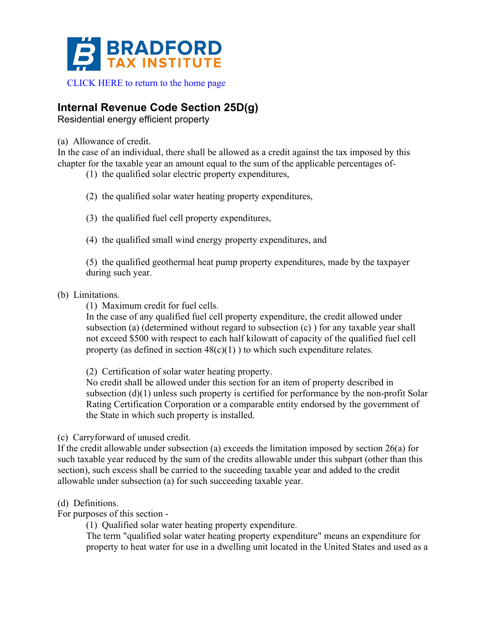

# **Internal Revenue Code Section 25D(g)**

Residential energy efficient property

(a) Allowance of credit.

In the case of an individual, there shall be allowed as a credit against the tax imposed by this chapter for the taxable year an amount equal to the sum of the applicable percentages of-

- (1) the qualified solar electric property expenditures,
- (2) the qualified solar water heating property expenditures,
- (3) the qualified fuel cell property expenditures,
- (4) the qualified small wind energy property expenditures, and

(5) the qualified geothermal heat pump property expenditures, made by the taxpayer during such year.

(b) Limitations.

(1) Maximum credit for fuel cells.

In the case of any qualified fuel cell property expenditure, the credit allowed under subsection (a) (determined without regard to subsection (c) ) for any taxable year shall not exceed \$500 with respect to each half kilowatt of capacity of the qualified fuel cell property (as defined in section  $48(c)(1)$ ) to which such expenditure relates.

(2) Certification of solar water heating property.

No credit shall be allowed under this section for an item of property described in subsection (d)(1) unless such property is certified for performance by the non-profit Solar Rating Certification Corporation or a comparable entity endorsed by the government of the State in which such property is installed.

## (c) Carryforward of unused credit.

If the credit allowable under subsection (a) exceeds the limitation imposed by section 26(a) for such taxable year reduced by the sum of the credits allowable under this subpart (other than this section), such excess shall be carried to the suceeding taxable year and added to the credit allowable under subsection (a) for such succeeding taxable year.

## (d) Definitions.

For purposes of this section -

(1) Qualified solar water heating property expenditure.

The term "qualified solar water heating property expenditure" means an expenditure for property to heat water for use in a dwelling unit located in the United States and used as a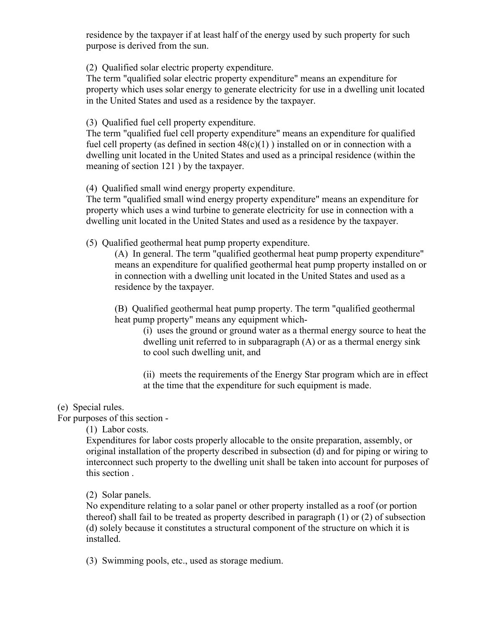residence by the taxpayer if at least half of the energy used by such property for such purpose is derived from the sun.

(2) Qualified solar electric property expenditure.

The term "qualified solar electric property expenditure" means an expenditure for property which uses solar energy to generate electricity for use in a dwelling unit located in the United States and used as a residence by the taxpayer.

(3) Qualified fuel cell property expenditure.

The term "qualified fuel cell property expenditure" means an expenditure for qualified fuel cell property (as defined in section  $48(c)(1)$ ) installed on or in connection with a dwelling unit located in the United States and used as a principal residence (within the meaning of section 121 ) by the taxpayer.

(4) Qualified small wind energy property expenditure.

The term "qualified small wind energy property expenditure" means an expenditure for property which uses a wind turbine to generate electricity for use in connection with a dwelling unit located in the United States and used as a residence by the taxpayer.

(5) Qualified geothermal heat pump property expenditure.

(A) In general. The term "qualified geothermal heat pump property expenditure" means an expenditure for qualified geothermal heat pump property installed on or in connection with a dwelling unit located in the United States and used as a residence by the taxpayer.

(B) Qualified geothermal heat pump property. The term "qualified geothermal heat pump property" means any equipment which-

(i) uses the ground or ground water as a thermal energy source to heat the dwelling unit referred to in subparagraph (A) or as a thermal energy sink to cool such dwelling unit, and

(ii) meets the requirements of the Energy Star program which are in effect at the time that the expenditure for such equipment is made.

## (e) Special rules.

For purposes of this section -

(1) Labor costs.

Expenditures for labor costs properly allocable to the onsite preparation, assembly, or original installation of the property described in subsection (d) and for piping or wiring to interconnect such property to the dwelling unit shall be taken into account for purposes of this section .

(2) Solar panels.

No expenditure relating to a solar panel or other property installed as a roof (or portion thereof) shall fail to be treated as property described in paragraph (1) or (2) of subsection (d) solely because it constitutes a structural component of the structure on which it is installed.

(3) Swimming pools, etc., used as storage medium.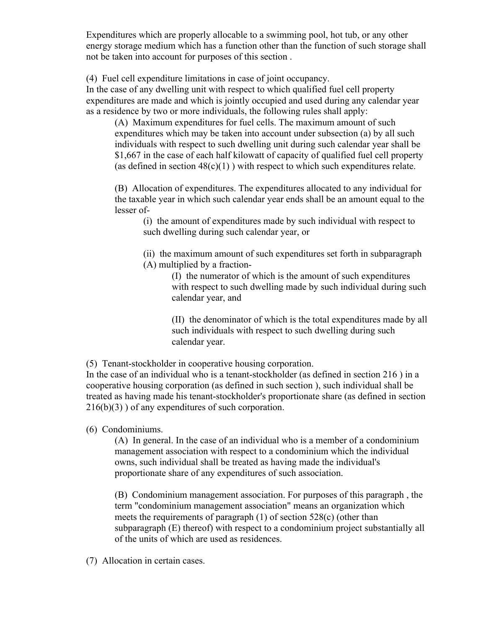Expenditures which are properly allocable to a swimming pool, hot tub, or any other energy storage medium which has a function other than the function of such storage shall not be taken into account for purposes of this section .

(4) Fuel cell expenditure limitations in case of joint occupancy.

In the case of any dwelling unit with respect to which qualified fuel cell property expenditures are made and which is jointly occupied and used during any calendar year as a residence by two or more individuals, the following rules shall apply:

(A) Maximum expenditures for fuel cells. The maximum amount of such expenditures which may be taken into account under subsection (a) by all such individuals with respect to such dwelling unit during such calendar year shall be \$1,667 in the case of each half kilowatt of capacity of qualified fuel cell property (as defined in section  $48(c)(1)$ ) with respect to which such expenditures relate.

(B) Allocation of expenditures. The expenditures allocated to any individual for the taxable year in which such calendar year ends shall be an amount equal to the lesser of-

(i) the amount of expenditures made by such individual with respect to such dwelling during such calendar year, or

(ii) the maximum amount of such expenditures set forth in subparagraph (A) multiplied by a fraction-

> (I) the numerator of which is the amount of such expenditures with respect to such dwelling made by such individual during such calendar year, and

> (II) the denominator of which is the total expenditures made by all such individuals with respect to such dwelling during such calendar year.

(5) Tenant-stockholder in cooperative housing corporation.

In the case of an individual who is a tenant-stockholder (as defined in section 216 ) in a cooperative housing corporation (as defined in such section ), such individual shall be treated as having made his tenant-stockholder's proportionate share (as defined in section 216(b)(3) ) of any expenditures of such corporation.

(6) Condominiums.

(A) In general. In the case of an individual who is a member of a condominium management association with respect to a condominium which the individual owns, such individual shall be treated as having made the individual's proportionate share of any expenditures of such association.

(B) Condominium management association. For purposes of this paragraph , the term "condominium management association" means an organization which meets the requirements of paragraph (1) of section 528(c) (other than subparagraph (E) thereof) with respect to a condominium project substantially all of the units of which are used as residences.

(7) Allocation in certain cases.